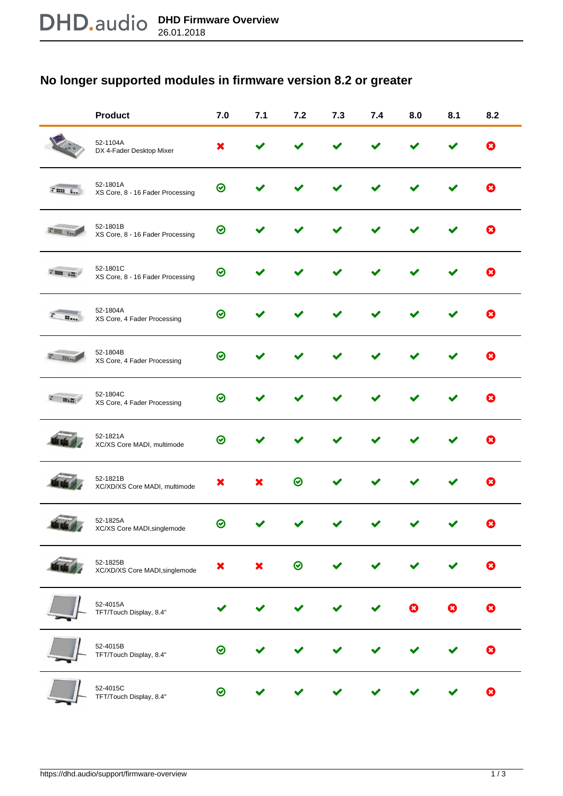## **No longer supported modules in firmware version 8.2 or greater**

|          | <b>Product</b>                               | 7.0 | 7.1 | 7.2     | 7.3 | 7.4 | 8.0                       | 8.1 | 8.2          |
|----------|----------------------------------------------|-----|-----|---------|-----|-----|---------------------------|-----|--------------|
|          | 52-1104A<br>DX 4-Fader Desktop Mixer         | ×   |     |         |     |     |                           |     | ю            |
| than Los | 52-1801A<br>XS Core, 8 - 16 Fader Processing | ❷   |     |         |     |     |                           |     | Ø            |
|          | 52-1801B<br>XS Core, 8 - 16 Fader Processing | 0   |     |         |     |     |                           |     | $\mathbf{x}$ |
| Free in  | 52-1801C<br>XS Core, 8 - 16 Fader Processing | 0   |     |         |     |     |                           |     | ю            |
|          | 52-1804A<br>XS Core, 4 Fader Processing      | ⊗   |     |         |     |     |                           |     | ☎            |
|          | 52-1804B<br>XS Core, 4 Fader Processing      | ⊙   |     |         |     |     |                           |     |              |
|          | 52-1804C<br>XS Core, 4 Fader Processing      | ⊙   |     |         |     |     |                           |     |              |
|          | 52-1821A<br>XC/XS Core MADI, multimode       | ⊙   |     |         |     |     |                           |     | X)           |
|          | 52-1821B<br>XC/XD/XS Core MADI, multimode    | x   |     | ∞       |     |     |                           |     | ×)           |
|          | 52-1825A<br>XC/XS Core MADI, singlemode      | ∞   |     |         |     |     |                           |     |              |
|          | 52-1825B<br>XC/XD/XS Core MADI, singlemode   | ×   | ×   | $\odot$ |     |     |                           |     | B            |
|          | 52-4015A<br>TFT/Touch Display, 8.4"          |     |     |         |     |     | $\boldsymbol{\mathsf{x}}$ | ×   | Ø            |
|          | 52-4015B<br>TFT/Touch Display, 8.4"          | ⊗   |     |         |     |     |                           |     |              |
|          | 52-4015C<br>TFT/Touch Display, 8.4"          | ⊗   |     |         |     |     |                           |     | X)           |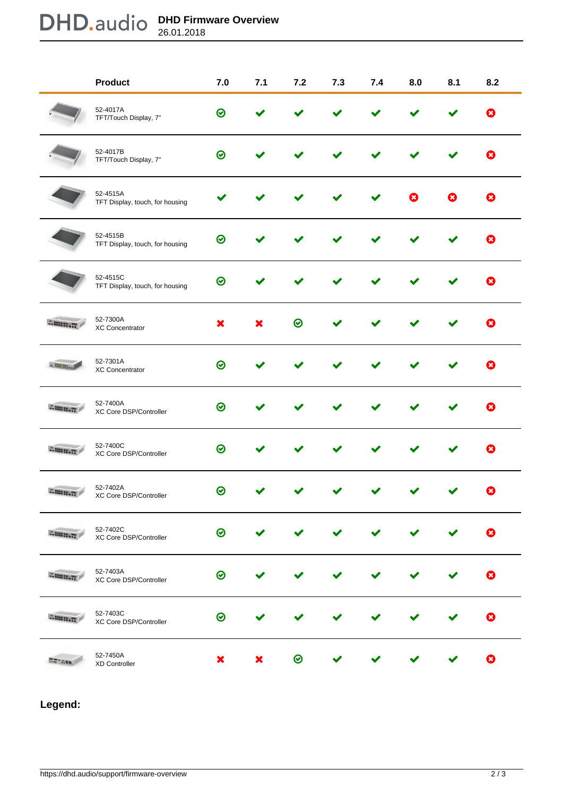## **DHD Firmware Overview** 26.01.2018

|                | <b>Product</b>                              | 7.0     | 7.1 | 7.2     | 7.3 | 7.4 | 8.0 | 8.1 | 8.2                       |
|----------------|---------------------------------------------|---------|-----|---------|-----|-----|-----|-----|---------------------------|
|                | 52-4017A<br>TFT/Touch Display, 7"           | $\odot$ |     |         |     |     |     |     | ☺                         |
|                | 52-4017B<br>TFT/Touch Display, 7"           | $\odot$ |     |         |     |     |     |     | 0                         |
|                | 52-4515A<br>TFT Display, touch, for housing |         |     |         |     |     |     | я   | 0                         |
|                | 52-4515B<br>TFT Display, touch, for housing | ⊗       |     |         |     |     |     |     | 0                         |
|                | 52-4515C<br>TFT Display, touch, for housing | $\odot$ |     |         |     |     |     |     | Q                         |
| Ammin          | 52-7300A<br>XC Concentrator                 | ×       | x   | ⊙       |     |     |     |     | 0                         |
|                | 52-7301A<br>XC Concentrator                 | $\odot$ |     |         |     |     |     |     | ☎                         |
| Allega de      | 52-7400A<br>XC Core DSP/Controller          | ❷       |     |         |     |     |     |     | Ø                         |
| Amaria         | 52-7400C<br>XC Core DSP/Controller          | ⊗       |     |         |     |     |     |     | 0                         |
| <b>ALCOHOL</b> | 52-7402A<br>XC Core DSP/Controller          | ∞       |     |         |     |     |     |     | $\boldsymbol{\mathsf{x}}$ |
| <b>BRAINE</b>  | 52-7402C<br>XC Core DSP/Controller          | $\odot$ |     |         |     |     |     |     | 0                         |
| <b>Altant</b>  | 52-7403A<br>XC Core DSP/Controller          | ⊗       |     |         |     |     |     |     | 0                         |
| <b>SANDO</b>   | 52-7403C<br>XC Core DSP/Controller          | ⊗       |     |         |     |     |     |     | Ø                         |
|                | 52-7450A<br>XD Controller                   | ×       | ×   | $\odot$ |     |     |     |     | 0                         |

**Legend:**